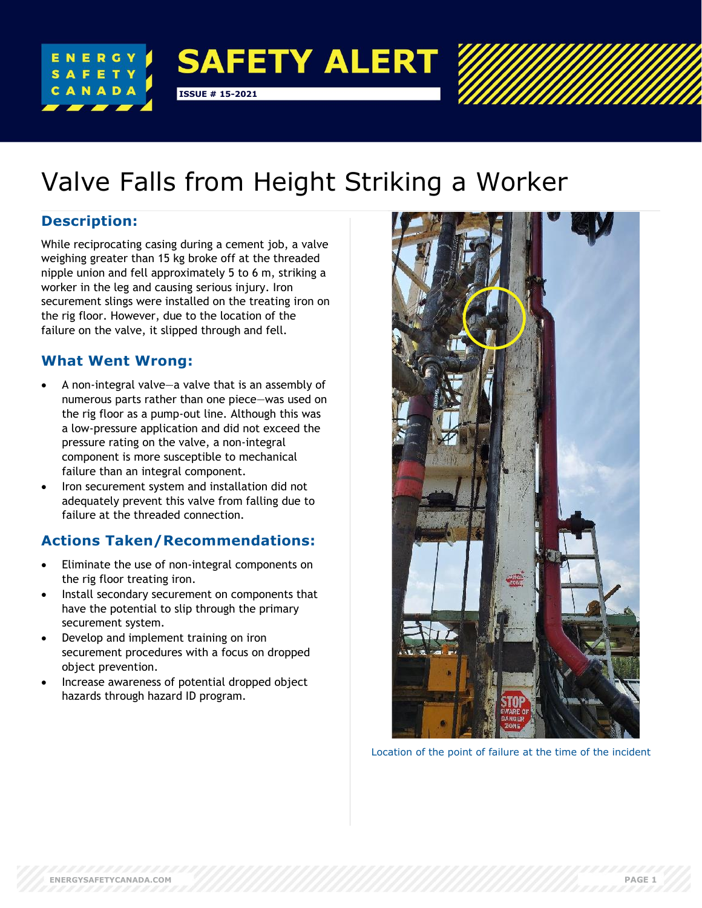

# Valve Falls from Height Striking a Worker

### **Description:**

While reciprocating casing during a cement job, a valve weighing greater than 15 kg broke off at the threaded nipple union and fell approximately 5 to 6 m, striking a worker in the leg and causing serious injury. Iron securement slings were installed on the treating iron on the rig floor. However, due to the location of the failure on the valve, it slipped through and fell.

## **What Went Wrong:**

- A non-integral valve—a valve that is an assembly of numerous parts rather than one piece—was used on the rig floor as a pump-out line. Although this was a low-pressure application and did not exceed the pressure rating on the valve, a non-integral component is more susceptible to mechanical failure than an integral component.
- Iron securement system and installation did not adequately prevent this valve from falling due to failure at the threaded connection.

## **Actions Taken/Recommendations:**

- Eliminate the use of non-integral components on the rig floor treating iron.
- Install secondary securement on components that have the potential to slip through the primary securement system.
- Develop and implement training on iron securement procedures with a focus on dropped object prevention.
- Increase awareness of potential dropped object hazards through hazard ID program.



Location of the point of failure at the time of the incident